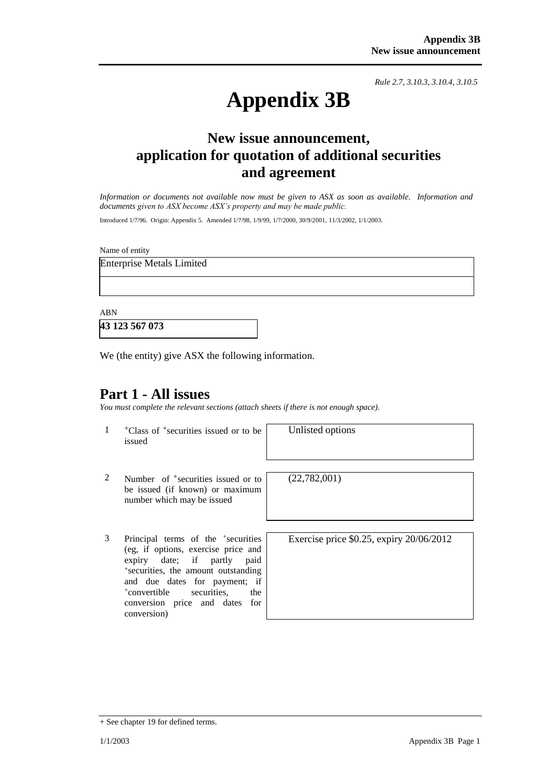*Rule 2.7, 3.10.3, 3.10.4, 3.10.5*

# **Appendix 3B**

## **New issue announcement, application for quotation of additional securities and agreement**

*Information or documents not available now must be given to ASX as soon as available. Information and documents given to ASX become ASX's property and may be made public.*

Introduced 1/7/96. Origin: Appendix 5. Amended 1/7/98, 1/9/99, 1/7/2000, 30/9/2001, 11/3/2002, 1/1/2003.

Name of entity

Enterprise Metals Limited

ABN

**43 123 567 073**

We (the entity) give ASX the following information.

### **Part 1 - All issues**

*You must complete the relevant sections (attach sheets if there is not enough space).*

1 +Class of +securities issued or to be issued

Unlisted options

- 2 Number of <sup>+</sup>securities issued or to be issued (if known) or maximum number which may be issued
- 3 Principal terms of the <sup>+</sup> securities (eg, if options, exercise price and expiry date; if partly paid + securities, the amount outstanding and due dates for payment; if <sup>+</sup>convertible securities, the conversion price and dates for conversion)

 $(22,782,001)$ 

Exercise price \$0.25, expiry 20/06/2012

<sup>+</sup> See chapter 19 for defined terms.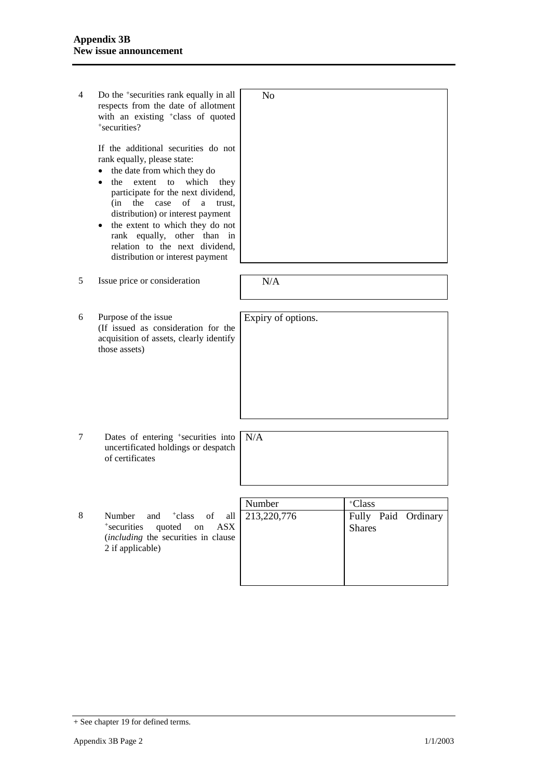| 4 | Do the <sup>+</sup> securities rank equally in all<br>respects from the date of allotment<br>with an existing <sup>+</sup> class of quoted<br>+securities?<br>If the additional securities do not<br>rank equally, please state:<br>the date from which they do<br>extent<br>to<br>which<br>the<br>they<br>participate for the next dividend,<br>case<br>of<br>a<br>(in<br>the<br>trust.<br>distribution) or interest payment<br>the extent to which they do not<br>rank equally, other than<br>in<br>relation to the next dividend,<br>distribution or interest payment | N <sub>0</sub>     |                                      |
|---|--------------------------------------------------------------------------------------------------------------------------------------------------------------------------------------------------------------------------------------------------------------------------------------------------------------------------------------------------------------------------------------------------------------------------------------------------------------------------------------------------------------------------------------------------------------------------|--------------------|--------------------------------------|
|   |                                                                                                                                                                                                                                                                                                                                                                                                                                                                                                                                                                          |                    |                                      |
| 5 | Issue price or consideration                                                                                                                                                                                                                                                                                                                                                                                                                                                                                                                                             | N/A                |                                      |
|   |                                                                                                                                                                                                                                                                                                                                                                                                                                                                                                                                                                          |                    |                                      |
|   |                                                                                                                                                                                                                                                                                                                                                                                                                                                                                                                                                                          |                    |                                      |
| 6 | Purpose of the issue<br>(If issued as consideration for the<br>acquisition of assets, clearly identify<br>those assets)                                                                                                                                                                                                                                                                                                                                                                                                                                                  | Expiry of options. |                                      |
|   |                                                                                                                                                                                                                                                                                                                                                                                                                                                                                                                                                                          |                    |                                      |
| 7 | Dates of entering <sup>+</sup> securities into<br>uncertificated holdings or despatch<br>of certificates                                                                                                                                                                                                                                                                                                                                                                                                                                                                 | N/A                |                                      |
|   |                                                                                                                                                                                                                                                                                                                                                                                                                                                                                                                                                                          |                    |                                      |
|   |                                                                                                                                                                                                                                                                                                                                                                                                                                                                                                                                                                          | Number             | +Class                               |
| 8 | Number<br>and<br><sup>+</sup> class<br>of<br>all<br><b>ASX</b><br>*securities<br>quoted<br>on<br>(including the securities in clause<br>2 if applicable)                                                                                                                                                                                                                                                                                                                                                                                                                 | 213,220,776        | Fully Paid Ordinary<br><b>Shares</b> |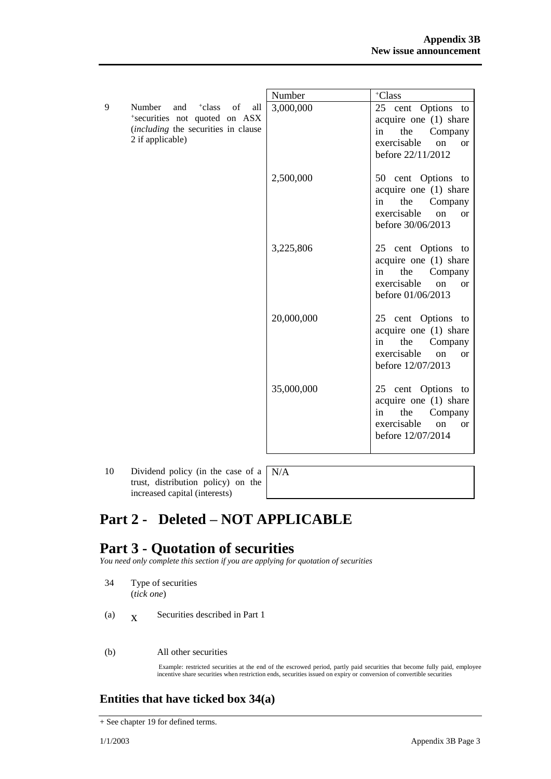|                                                                                                                                       | Number     | +Class                                                                                                                               |
|---------------------------------------------------------------------------------------------------------------------------------------|------------|--------------------------------------------------------------------------------------------------------------------------------------|
| 9<br>+class<br>of<br>Number<br>and<br>all<br>*securities not quoted on ASX<br>(including the securities in clause<br>2 if applicable) | 3,000,000  | 25 cent Options to<br>acquire one $(1)$ share<br>the<br>in<br>Company<br>exercisable<br>on<br>or<br>before 22/11/2012                |
|                                                                                                                                       | 2,500,000  | 50 cent Options to<br>acquire one $(1)$ share<br>the<br>in<br>Company<br>exercisable<br>on<br><b>or</b><br>before 30/06/2013         |
|                                                                                                                                       | 3,225,806  | 25 cent Options to<br>acquire one (1) share<br>the<br>in<br>Company<br>exercisable<br>$\alpha$<br><sub>or</sub><br>before 01/06/2013 |
|                                                                                                                                       | 20,000,000 | 25 cent Options to<br>acquire one (1) share<br>the<br>Company<br>in<br>exercisable<br>on<br>$\alpha$<br>before 12/07/2013            |
|                                                                                                                                       | 35,000,000 | 25 cent Options to<br>acquire one (1) share<br>the<br>Company<br>in<br>exercisable<br>on<br><b>or</b><br>before 12/07/2014           |

10 Dividend policy (in the case of a trust, distribution policy) on the increased capital (interests)

N/A

# **Part 2 - Deleted – NOT APPLICABLE**

## **Part 3 - Quotation of securities**

*You need only complete this section if you are applying for quotation of securities*

- 34 Type of securities (*tick one*)
- (a)  $\mathbf{X}$ Securities described in Part 1
- (b) All other securities

Example: restricted securities at the end of the escrowed period, partly paid securities that become fully paid, employee incentive share securities when restriction ends, securities issued on expiry or conversion of convertible securities

#### **Entities that have ticked box 34(a)**

<sup>+</sup> See chapter 19 for defined terms.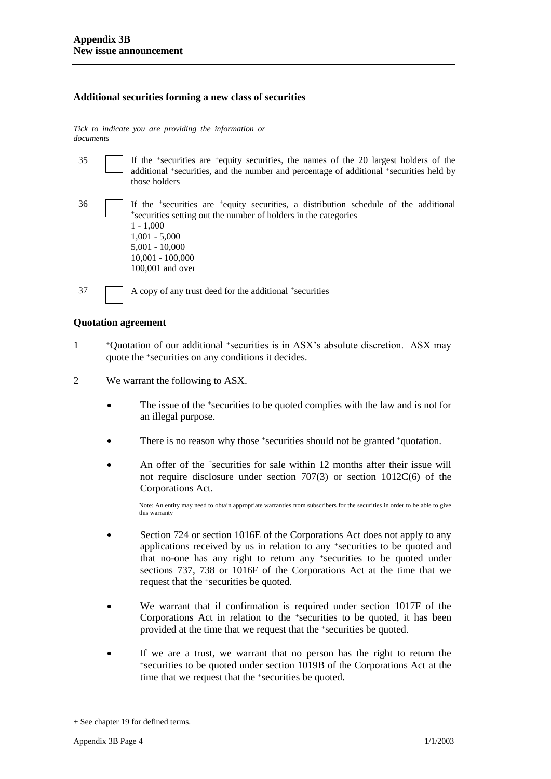#### **Additional securities forming a new class of securities**

*Tick to indicate you are providing the information or documents*

35 If the <sup>+</sup> securities are <sup>+</sup>equity securities, the names of the 20 largest holders of the additional <sup>+</sup>securities, and the number and percentage of additional <sup>+</sup>securities held by those holders 36 If the <sup>+</sup> securities are <sup>+</sup>equity securities, a distribution schedule of the additional + securities setting out the number of holders in the categories 1 - 1,000 1,001 - 5,000 5,001 - 10,000 10,001 - 100,000 100,001 and over 37 A copy of any trust deed for the additional +securities

#### **Quotation agreement**

- 1 <sup>+</sup>Quotation of our additional +securities is in ASX's absolute discretion. ASX may quote the +securities on any conditions it decides.
- 2 We warrant the following to ASX.
	- The issue of the +securities to be quoted complies with the law and is not for an illegal purpose.
	- There is no reason why those +securities should not be granted +quotation.
	- An offer of the <sup>+</sup>securities for sale within 12 months after their issue will not require disclosure under section 707(3) or section 1012C(6) of the Corporations Act.

Note: An entity may need to obtain appropriate warranties from subscribers for the securities in order to be able to give this warranty

- Section 724 or section 1016E of the Corporations Act does not apply to any applications received by us in relation to any +securities to be quoted and that no-one has any right to return any +securities to be quoted under sections 737, 738 or 1016F of the Corporations Act at the time that we request that the +securities be quoted.
- We warrant that if confirmation is required under section 1017F of the Corporations Act in relation to the +securities to be quoted, it has been provided at the time that we request that the +securities be quoted.
- If we are a trust, we warrant that no person has the right to return the <sup>+</sup>securities to be quoted under section 1019B of the Corporations Act at the time that we request that the <sup>+</sup>securities be quoted.

<sup>+</sup> See chapter 19 for defined terms.